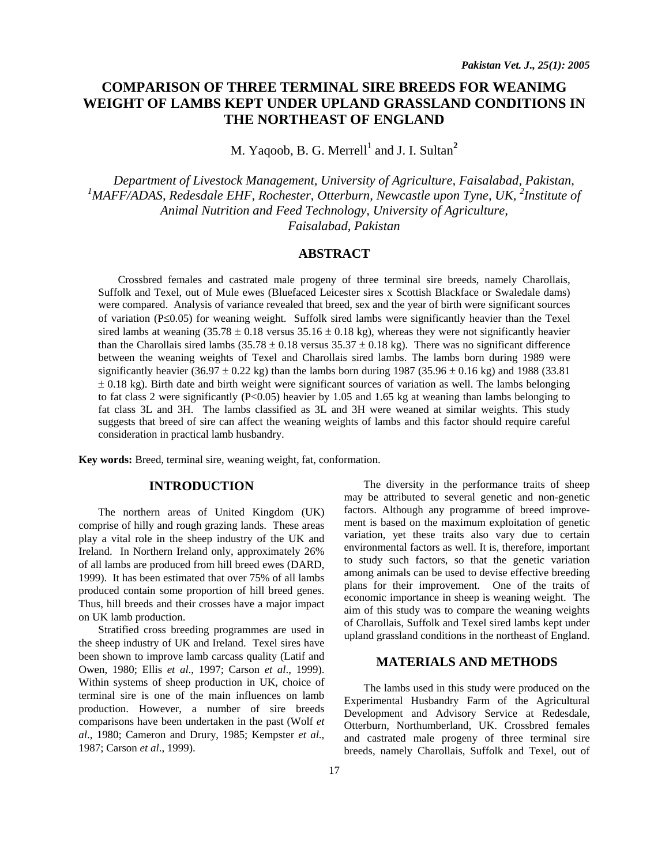# **COMPARISON OF THREE TERMINAL SIRE BREEDS FOR WEANIMG WEIGHT OF LAMBS KEPT UNDER UPLAND GRASSLAND CONDITIONS IN THE NORTHEAST OF ENGLAND**

M. Yaqoob, B. G. Merrell<sup>1</sup> and J. I. Sultan<sup>2</sup>

*Department of Livestock Management, University of Agriculture, Faisalabad, Pakistan,*  <sup>1</sup>MAFF/ADAS, Redesdale EHF, Rochester, Otterburn, Newcastle upon Tyne, UK, <sup>2</sup>Institute of *Animal Nutrition and Feed Technology, University of Agriculture, Faisalabad, Pakistan* 

# **ABSTRACT**

 Crossbred females and castrated male progeny of three terminal sire breeds, namely Charollais, Suffolk and Texel, out of Mule ewes (Bluefaced Leicester sires x Scottish Blackface or Swaledale dams) were compared. Analysis of variance revealed that breed, sex and the year of birth were significant sources of variation (P≤0.05) for weaning weight. Suffolk sired lambs were significantly heavier than the Texel sired lambs at weaning  $(35.78 \pm 0.18 \text{ versus } 35.16 \pm 0.18 \text{ kg})$ , whereas they were not significantly heavier than the Charollais sired lambs  $(35.78 \pm 0.18 \text{ versus } 35.37 \pm 0.18 \text{ kg})$ . There was no significant difference between the weaning weights of Texel and Charollais sired lambs. The lambs born during 1989 were significantly heavier  $(36.97 \pm 0.22 \text{ kg})$  than the lambs born during 1987  $(35.96 \pm 0.16 \text{ kg})$  and 1988  $(33.81$ ± 0.18 kg). Birth date and birth weight were significant sources of variation as well. The lambs belonging to fat class 2 were significantly (P<0.05) heavier by 1.05 and 1.65 kg at weaning than lambs belonging to fat class 3L and 3H. The lambs classified as 3L and 3H were weaned at similar weights. This study suggests that breed of sire can affect the weaning weights of lambs and this factor should require careful consideration in practical lamb husbandry.

**Key words:** Breed, terminal sire, weaning weight, fat, conformation.

## **INTRODUCTION**

The northern areas of United Kingdom (UK) comprise of hilly and rough grazing lands. These areas play a vital role in the sheep industry of the UK and Ireland. In Northern Ireland only, approximately 26% of all lambs are produced from hill breed ewes (DARD, 1999). It has been estimated that over 75% of all lambs produced contain some proportion of hill breed genes. Thus, hill breeds and their crosses have a major impact on UK lamb production.

Stratified cross breeding programmes are used in the sheep industry of UK and Ireland. Texel sires have been shown to improve lamb carcass quality (Latif and Owen, 1980; Ellis *et al*., 1997; Carson *et al*., 1999). Within systems of sheep production in UK, choice of terminal sire is one of the main influences on lamb production. However, a number of sire breeds comparisons have been undertaken in the past (Wolf *et al*., 1980; Cameron and Drury, 1985; Kempster *et al*., 1987; Carson *et al*., 1999).

The diversity in the performance traits of sheep may be attributed to several genetic and non-genetic factors. Although any programme of breed improvement is based on the maximum exploitation of genetic variation, yet these traits also vary due to certain environmental factors as well. It is, therefore, important to study such factors, so that the genetic variation among animals can be used to devise effective breeding plans for their improvement. One of the traits of economic importance in sheep is weaning weight. The aim of this study was to compare the weaning weights of Charollais, Suffolk and Texel sired lambs kept under upland grassland conditions in the northeast of England.

## **MATERIALS AND METHODS**

The lambs used in this study were produced on the Experimental Husbandry Farm of the Agricultural Development and Advisory Service at Redesdale, Otterburn, Northumberland, UK. Crossbred females and castrated male progeny of three terminal sire breeds, namely Charollais, Suffolk and Texel, out of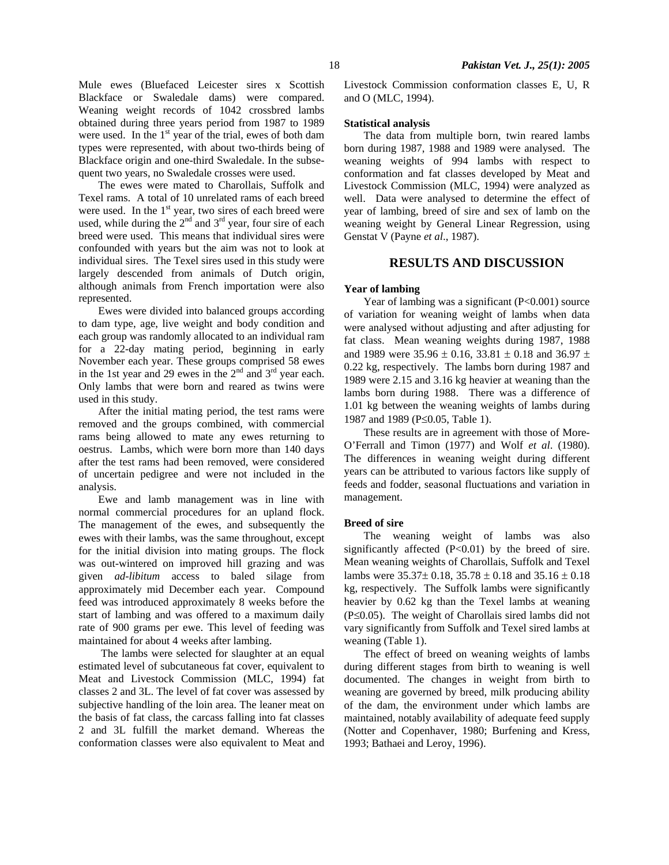Mule ewes (Bluefaced Leicester sires x Scottish Blackface or Swaledale dams) were compared. Weaning weight records of 1042 crossbred lambs obtained during three years period from 1987 to 1989 were used. In the  $1<sup>st</sup>$  year of the trial, ewes of both dam types were represented, with about two-thirds being of Blackface origin and one-third Swaledale. In the subsequent two years, no Swaledale crosses were used.

The ewes were mated to Charollais, Suffolk and Texel rams. A total of 10 unrelated rams of each breed were used. In the  $1<sup>st</sup>$  year, two sires of each breed were used, while during the  $2<sup>nd</sup>$  and  $3<sup>rd</sup>$  year, four sire of each breed were used. This means that individual sires were confounded with years but the aim was not to look at individual sires. The Texel sires used in this study were largely descended from animals of Dutch origin, although animals from French importation were also represented.

Ewes were divided into balanced groups according to dam type, age, live weight and body condition and each group was randomly allocated to an individual ram for a 22-day mating period, beginning in early November each year. These groups comprised 58 ewes in the 1st year and 29 ewes in the  $2<sup>nd</sup>$  and  $3<sup>rd</sup>$  year each. Only lambs that were born and reared as twins were used in this study.

After the initial mating period, the test rams were removed and the groups combined, with commercial rams being allowed to mate any ewes returning to oestrus. Lambs, which were born more than 140 days after the test rams had been removed, were considered of uncertain pedigree and were not included in the analysis.

Ewe and lamb management was in line with normal commercial procedures for an upland flock. The management of the ewes, and subsequently the ewes with their lambs, was the same throughout, except for the initial division into mating groups. The flock was out-wintered on improved hill grazing and was given *ad-libitum* access to baled silage from approximately mid December each year. Compound feed was introduced approximately 8 weeks before the start of lambing and was offered to a maximum daily rate of 900 grams per ewe. This level of feeding was maintained for about 4 weeks after lambing.

 The lambs were selected for slaughter at an equal estimated level of subcutaneous fat cover, equivalent to Meat and Livestock Commission (MLC, 1994) fat classes 2 and 3L. The level of fat cover was assessed by subjective handling of the loin area. The leaner meat on the basis of fat class, the carcass falling into fat classes 2 and 3L fulfill the market demand. Whereas the conformation classes were also equivalent to Meat and Livestock Commission conformation classes E, U, R and O (MLC, 1994).

#### **Statistical analysis**

The data from multiple born, twin reared lambs born during 1987, 1988 and 1989 were analysed. The weaning weights of 994 lambs with respect to conformation and fat classes developed by Meat and Livestock Commission (MLC, 1994) were analyzed as well. Data were analysed to determine the effect of year of lambing, breed of sire and sex of lamb on the weaning weight by General Linear Regression, using Genstat V (Payne *et al*., 1987).

### **RESULTS AND DISCUSSION**

### **Year of lambing**

Year of lambing was a significant (P<0.001) source of variation for weaning weight of lambs when data were analysed without adjusting and after adjusting for fat class. Mean weaning weights during 1987, 1988 and 1989 were  $35.96 \pm 0.16$ ,  $33.81 \pm 0.18$  and  $36.97 \pm$ 0.22 kg, respectively. The lambs born during 1987 and 1989 were 2.15 and 3.16 kg heavier at weaning than the lambs born during 1988. There was a difference of 1.01 kg between the weaning weights of lambs during 1987 and 1989 (P≤0.05, Table 1).

These results are in agreement with those of More-O'Ferrall and Timon (1977) and Wolf *et al*. (1980). The differences in weaning weight during different years can be attributed to various factors like supply of feeds and fodder, seasonal fluctuations and variation in management.

### **Breed of sire**

The weaning weight of lambs was also significantly affected (P<0.01) by the breed of sire. Mean weaning weights of Charollais, Suffolk and Texel lambs were  $35.37 \pm 0.18$ ,  $35.78 \pm 0.18$  and  $35.16 \pm 0.18$ kg, respectively. The Suffolk lambs were significantly heavier by 0.62 kg than the Texel lambs at weaning (P≤0.05). The weight of Charollais sired lambs did not vary significantly from Suffolk and Texel sired lambs at weaning (Table 1).

The effect of breed on weaning weights of lambs during different stages from birth to weaning is well documented. The changes in weight from birth to weaning are governed by breed, milk producing ability of the dam, the environment under which lambs are maintained, notably availability of adequate feed supply (Notter and Copenhaver, 1980; Burfening and Kress, 1993; Bathaei and Leroy, 1996).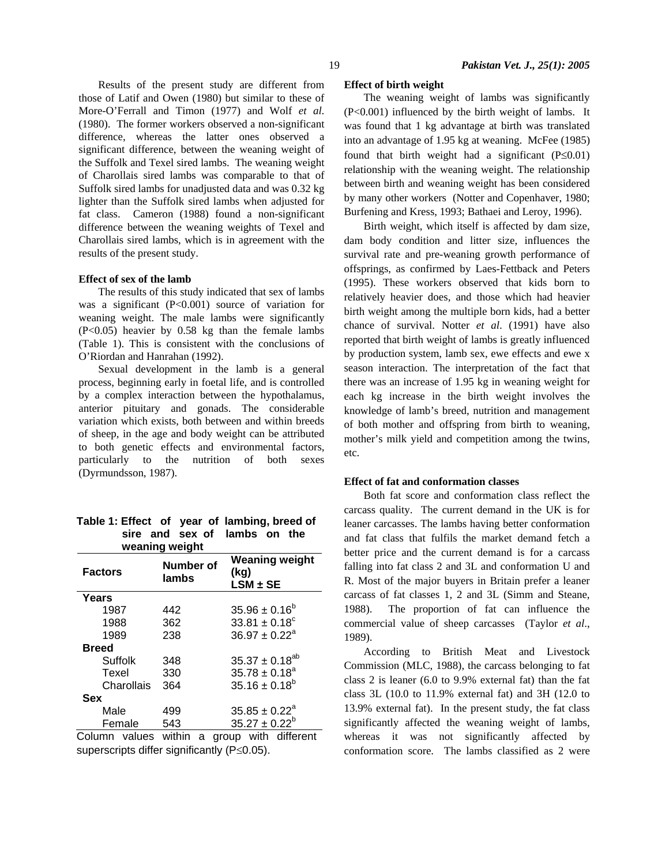Results of the present study are different from those of Latif and Owen (1980) but similar to these of More-O'Ferrall and Timon (1977) and Wolf *et al*. (1980). The former workers observed a non-significant difference, whereas the latter ones observed a significant difference, between the weaning weight of the Suffolk and Texel sired lambs. The weaning weight of Charollais sired lambs was comparable to that of Suffolk sired lambs for unadjusted data and was 0.32 kg lighter than the Suffolk sired lambs when adjusted for fat class. Cameron (1988) found a non-significant difference between the weaning weights of Texel and Charollais sired lambs, which is in agreement with the results of the present study.

#### **Effect of sex of the lamb**

The results of this study indicated that sex of lambs was a significant (P<0.001) source of variation for weaning weight. The male lambs were significantly (P<0.05) heavier by 0.58 kg than the female lambs (Table 1). This is consistent with the conclusions of O'Riordan and Hanrahan (1992).

Sexual development in the lamb is a general process, beginning early in foetal life, and is controlled by a complex interaction between the hypothalamus, anterior pituitary and gonads. The considerable variation which exists, both between and within breeds of sheep, in the age and body weight can be attributed to both genetic effects and environmental factors, particularly to the nutrition of both sexes (Dyrmundsson, 1987).

| weaning weight       |                    |                                               |  |  |  |
|----------------------|--------------------|-----------------------------------------------|--|--|--|
| <b>Factors</b>       | Number of<br>lambs | <b>Weaning weight</b><br>(kg)<br>$LSM \pm SE$ |  |  |  |
| Years                |                    |                                               |  |  |  |
| 1987                 | 442                | $35.96 \pm 0.16^b$                            |  |  |  |
| 1988                 | 362                | $33.81 \pm 0.18^{\circ}$                      |  |  |  |
| 1989                 | 238                | $36.97 + 0.22a$                               |  |  |  |
| <b>Breed</b>         |                    |                                               |  |  |  |
| Suffolk              | 348                | $35.37 \pm 0.18^{ab}$                         |  |  |  |
| Texel                | 330                | $35.78 \pm 0.18^a$                            |  |  |  |
| Charollais           | 364                | $35.16 \pm 0.18^b$                            |  |  |  |
| Sex                  |                    |                                               |  |  |  |
| Male                 | 499                | $35.85 \pm 0.22^{\circ}$                      |  |  |  |
| Female               | 543                | $35.27 \pm 0.22^b$                            |  |  |  |
| Column volung within |                    | aroun with different                          |  |  |  |

**Table 1: Effect of year of lambing, breed of sire and sex of lambs on the** 

Column values within a group with different superscripts differ significantly (P≤0.05).

## **Effect of birth weight**

The weaning weight of lambs was significantly (P<0.001) influenced by the birth weight of lambs. It was found that 1 kg advantage at birth was translated into an advantage of 1.95 kg at weaning. McFee (1985) found that birth weight had a significant  $(P \le 0.01)$ relationship with the weaning weight. The relationship between birth and weaning weight has been considered by many other workers (Notter and Copenhaver, 1980; Burfening and Kress, 1993; Bathaei and Leroy, 1996).

Birth weight, which itself is affected by dam size, dam body condition and litter size, influences the survival rate and pre-weaning growth performance of offsprings, as confirmed by Laes-Fettback and Peters (1995). These workers observed that kids born to relatively heavier does, and those which had heavier birth weight among the multiple born kids, had a better chance of survival. Notter *et al*. (1991) have also reported that birth weight of lambs is greatly influenced by production system, lamb sex, ewe effects and ewe x season interaction. The interpretation of the fact that there was an increase of 1.95 kg in weaning weight for each kg increase in the birth weight involves the knowledge of lamb's breed, nutrition and management of both mother and offspring from birth to weaning, mother's milk yield and competition among the twins, etc.

#### **Effect of fat and conformation classes**

Both fat score and conformation class reflect the carcass quality. The current demand in the UK is for leaner carcasses. The lambs having better conformation and fat class that fulfils the market demand fetch a better price and the current demand is for a carcass falling into fat class 2 and 3L and conformation U and R. Most of the major buyers in Britain prefer a leaner carcass of fat classes 1, 2 and 3L (Simm and Steane, 1988). The proportion of fat can influence the commercial value of sheep carcasses (Taylor *et al*., 1989).

According to British Meat and Livestock Commission (MLC, 1988), the carcass belonging to fat class 2 is leaner (6.0 to 9.9% external fat) than the fat class 3L (10.0 to 11.9% external fat) and 3H (12.0 to 13.9% external fat). In the present study, the fat class significantly affected the weaning weight of lambs, whereas it was not significantly affected by conformation score. The lambs classified as 2 were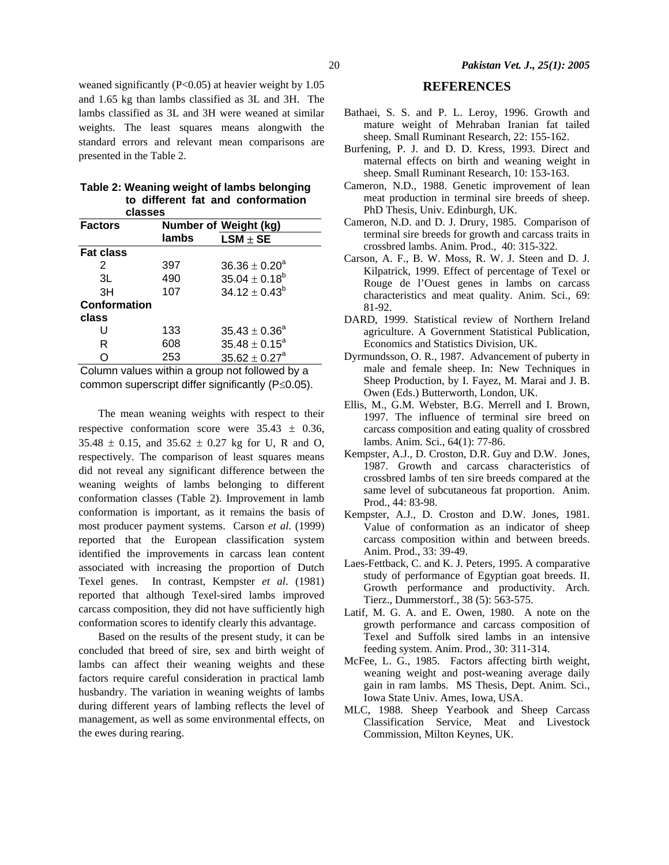weaned significantly  $(P<0.05)$  at heavier weight by 1.05 and 1.65 kg than lambs classified as 3L and 3H. The lambs classified as 3L and 3H were weaned at similar weights. The least squares means alongwith the standard errors and relevant mean comparisons are presented in the Table 2.

|         |  |  | Table 2: Weaning weight of lambs belonging |
|---------|--|--|--------------------------------------------|
|         |  |  | to different fat and conformation          |
| classes |  |  |                                            |

| <b>Factors</b>      | <b>Number of Weight (kg)</b> |                          |  |  |  |
|---------------------|------------------------------|--------------------------|--|--|--|
|                     | lambs                        | $LSM \pm SE$             |  |  |  |
| <b>Fat class</b>    |                              |                          |  |  |  |
| 2                   | 397                          | $36.36 \pm 0.20^4$       |  |  |  |
| 3L                  | 490                          | $35.04 \pm 0.18^b$       |  |  |  |
| 3H                  | 107                          | $34.12 \pm 0.43^b$       |  |  |  |
| <b>Conformation</b> |                              |                          |  |  |  |
| class               |                              |                          |  |  |  |
| U                   | 133                          | $35.43 \pm 0.36^{\circ}$ |  |  |  |
| R                   | 608                          | $35.48 \pm 0.15^a$       |  |  |  |
| O                   | 253                          | $35.62 \pm 0.27^a$       |  |  |  |
|                     |                              |                          |  |  |  |

Column values within a group not followed by a common superscript differ significantly (P≤0.05).

The mean weaning weights with respect to their respective conformation score were  $35.43 \pm 0.36$ ,  $35.48 \pm 0.15$ , and  $35.62 \pm 0.27$  kg for U, R and O, respectively. The comparison of least squares means did not reveal any significant difference between the weaning weights of lambs belonging to different conformation classes (Table 2). Improvement in lamb conformation is important, as it remains the basis of most producer payment systems. Carson *et al*. (1999) reported that the European classification system identified the improvements in carcass lean content associated with increasing the proportion of Dutch Texel genes. In contrast, Kempster *et al*. (1981) reported that although Texel-sired lambs improved carcass composition, they did not have sufficiently high conformation scores to identify clearly this advantage.

Based on the results of the present study, it can be concluded that breed of sire, sex and birth weight of lambs can affect their weaning weights and these factors require careful consideration in practical lamb husbandry. The variation in weaning weights of lambs during different years of lambing reflects the level of management, as well as some environmental effects, on the ewes during rearing.

# **REFERENCES**

- Bathaei, S. S. and P. L. Leroy, 1996. Growth and mature weight of Mehraban Iranian fat tailed sheep. Small Ruminant Research, 22: 155-162.
- Burfening, P. J. and D. D. Kress, 1993. Direct and maternal effects on birth and weaning weight in sheep. Small Ruminant Research, 10: 153-163.
- Cameron, N.D., 1988. Genetic improvement of lean meat production in terminal sire breeds of sheep. PhD Thesis, Univ. Edinburgh, UK.
- Cameron, N.D. and D. J. Drury, 1985. Comparison of terminal sire breeds for growth and carcass traits in crossbred lambs. Anim. Prod., 40: 315-322.
- Carson, A. F., B. W. Moss, R. W. J. Steen and D. J. Kilpatrick, 1999. Effect of percentage of Texel or Rouge de l'Ouest genes in lambs on carcass characteristics and meat quality. Anim. Sci., 69: 81-92.
- DARD, 1999. Statistical review of Northern Ireland agriculture. A Government Statistical Publication, Economics and Statistics Division, UK.
- Dyrmundsson, O. R., 1987. Advancement of puberty in male and female sheep. In: New Techniques in Sheep Production, by I. Fayez, M. Marai and J. B. Owen (Eds.) Butterworth, London, UK.
- Ellis, M., G.M. Webster, B.G. Merrell and I. Brown, 1997. The influence of terminal sire breed on carcass composition and eating quality of crossbred lambs. Anim. Sci., 64(1): 77-86.
- Kempster, A.J., D. Croston, D.R. Guy and D.W. Jones, 1987. Growth and carcass characteristics of crossbred lambs of ten sire breeds compared at the same level of subcutaneous fat proportion. Anim. Prod., 44: 83-98.
- Kempster, A.J., D. Croston and D.W. Jones, 1981. Value of conformation as an indicator of sheep carcass composition within and between breeds. Anim. Prod., 33: 39-49.
- Laes-Fettback, C. and K. J. Peters, 1995. A comparative study of performance of Egyptian goat breeds. II. Growth performance and productivity. Arch. Tierz., Dummerstorf., 38 (5): 563-575.
- Latif, M. G. A. and E. Owen, 1980. A note on the growth performance and carcass composition of Texel and Suffolk sired lambs in an intensive feeding system. Anim. Prod., 30: 311-314.
- McFee, L. G., 1985. Factors affecting birth weight, weaning weight and post-weaning average daily gain in ram lambs. MS Thesis, Dept. Anim. Sci., Iowa State Univ. Ames, Iowa, USA.
- MLC, 1988. Sheep Yearbook and Sheep Carcass Classification Service, Meat and Livestock Commission, Milton Keynes, UK.